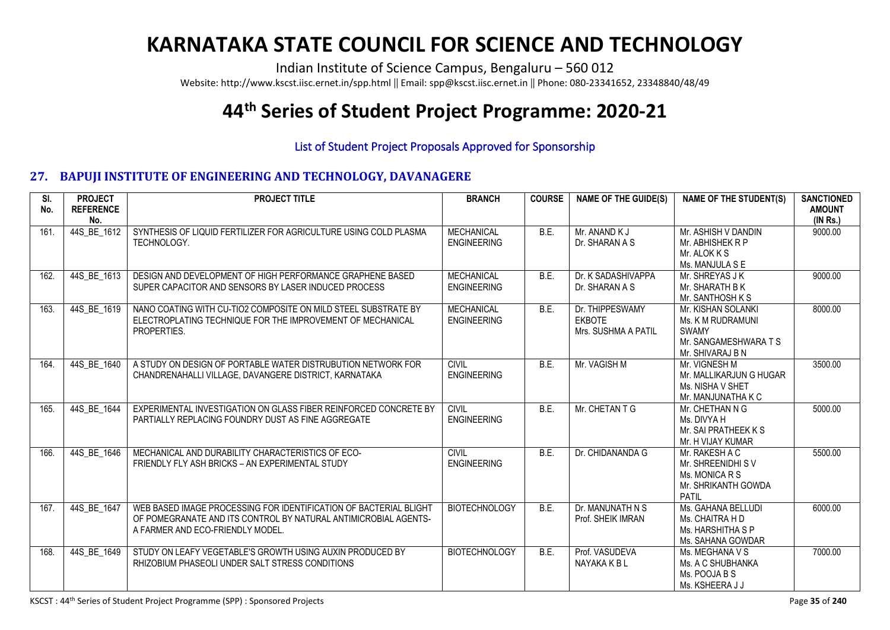## **KARNATAKA STATE COUNCIL FOR SCIENCE AND TECHNOLOGY**

Indian Institute of Science Campus, Bengaluru – 560 012

Website: http://www.kscst.iisc.ernet.in/spp.html || Email: spp@kscst.iisc.ernet.in || Phone: 080-23341652, 23348840/48/49

## **44th Series of Student Project Programme: 2020-21**

## List of Student Project Proposals Approved for Sponsorship

## **27. BAPUJI INSTITUTE OF ENGINEERING AND TECHNOLOGY, DAVANAGERE**

| SI.<br>No. | <b>PROJECT</b><br><b>REFERENCE</b><br>No. | <b>PROJECT TITLE</b>                                                                                                                                                     | <b>BRANCH</b>                           | <b>COURSE</b> | <b>NAME OF THE GUIDE(S)</b>                             | <b>NAME OF THE STUDENT(S)</b>                                                                        | <b>SANCTIONED</b><br><b>AMOUNT</b><br>(INRS.) |
|------------|-------------------------------------------|--------------------------------------------------------------------------------------------------------------------------------------------------------------------------|-----------------------------------------|---------------|---------------------------------------------------------|------------------------------------------------------------------------------------------------------|-----------------------------------------------|
| 161.       | 44S BE 1612                               | SYNTHESIS OF LIQUID FERTILIZER FOR AGRICULTURE USING COLD PLASMA<br>TECHNOLOGY.                                                                                          | <b>MECHANICAL</b><br><b>ENGINEERING</b> | B.E.          | Mr. ANAND K J<br>Dr. SHARAN A S                         | Mr. ASHISH V DANDIN<br>Mr. ABHISHEK R P<br>Mr. ALOK K S<br>Ms. MANJULA S E                           | 9000.00                                       |
| 162.       | 44S BE 1613                               | DESIGN AND DEVELOPMENT OF HIGH PERFORMANCE GRAPHENE BASED<br>SUPER CAPACITOR AND SENSORS BY LASER INDUCED PROCESS                                                        | <b>MECHANICAL</b><br><b>ENGINEERING</b> | B.F.          | Dr. K SADASHIVAPPA<br>Dr. SHARAN A S                    | Mr. SHREYAS J K<br>Mr. SHARATH B K<br>Mr. SANTHOSH K S                                               | 9000.00                                       |
| 163.       | 44S BE 1619                               | NANO COATING WITH CU-TIO2 COMPOSITE ON MILD STEEL SUBSTRATE BY<br>ELECTROPLATING TECHNIQUE FOR THE IMPROVEMENT OF MECHANICAL<br>PROPERTIES.                              | <b>MECHANICAL</b><br><b>ENGINEERING</b> | B.E.          | Dr. THIPPESWAMY<br><b>EKBOTE</b><br>Mrs. SUSHMA A PATIL | Mr. KISHAN SOLANKI<br>Ms. K M RUDRAMUNI<br><b>SWAMY</b><br>Mr. SANGAMESHWARA T S<br>Mr. SHIVARAJ B N | 8000.00                                       |
| 164.       | 44S BE 1640                               | A STUDY ON DESIGN OF PORTABLE WATER DISTRUBUTION NETWORK FOR<br>CHANDRENAHALLI VILLAGE, DAVANGERE DISTRICT, KARNATAKA                                                    | <b>CIVIL</b><br><b>ENGINEERING</b>      | B.E.          | Mr. VAGISH M                                            | Mr. VIGNESH M<br>Mr. MALLIKARJUN G HUGAR<br>Ms. NISHA V SHET<br>Mr. MANJUNATHA K C                   | 3500.00                                       |
| 165.       | 44S BE 1644                               | EXPERIMENTAL INVESTIGATION ON GLASS FIBER REINFORCED CONCRETE BY<br>PARTIALLY REPLACING FOUNDRY DUST AS FINE AGGREGATE                                                   | <b>CIVIL</b><br><b>ENGINEERING</b>      | BE.           | Mr. CHETAN T G                                          | Mr. CHETHAN N G<br>Ms. DIVYA H<br>Mr. SAI PRATHEEK K S<br>Mr. H VIJAY KUMAR                          | 5000.00                                       |
| 166.       | 44S BE 1646                               | MECHANICAL AND DURABILITY CHARACTERISTICS OF ECO-<br>FRIENDLY FLY ASH BRICKS - AN EXPERIMENTAL STUDY                                                                     | <b>CIVIL</b><br><b>ENGINEERING</b>      | B.E.          | Dr. CHIDANANDA G                                        | Mr. RAKESH A C<br>Mr. SHREENIDHI S V<br>Ms. MONICA R S<br>Mr. SHRIKANTH GOWDA<br>PATIL               | 5500.00                                       |
| 167.       | 44S BE 1647                               | WEB BASED IMAGE PROCESSING FOR IDENTIFICATION OF BACTERIAL BLIGHT<br>OF POMEGRANATE AND ITS CONTROL BY NATURAL ANTIMICROBIAL AGENTS-<br>A FARMER AND ECO-FRIENDLY MODEL. | <b>BIOTECHNOLOGY</b>                    | B.E.          | Dr. MANUNATH N S<br>Prof. SHEIK IMRAN                   | Ms. GAHANA BELLUDI<br>Ms. CHAITRA H D<br>Ms. HARSHITHA S P<br>Ms. SAHANA GOWDAR                      | 6000.00                                       |
| 168.       | 44S BE 1649                               | STUDY ON LEAFY VEGETABLE'S GROWTH USING AUXIN PRODUCED BY<br>RHIZOBIUM PHASEOLI UNDER SALT STRESS CONDITIONS                                                             | <b>BIOTECHNOLOGY</b>                    | BE.           | Prof. VASUDEVA<br>NAYAKA K B L                          | Ms. MEGHANA V S<br>Ms. A C SHUBHANKA<br>Ms. POOJA B S<br>Ms. KSHEERA J J                             | 7000.00                                       |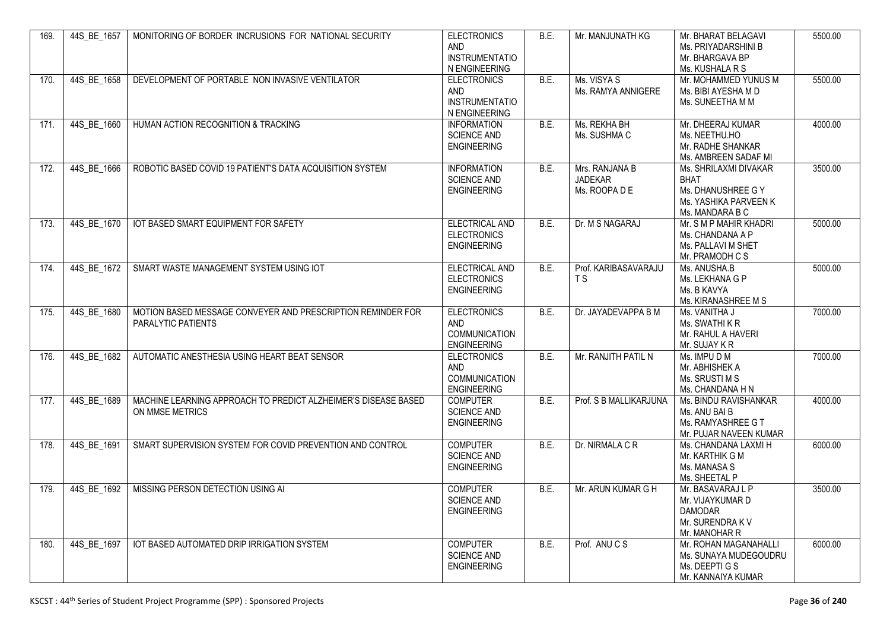| 169. | 44S BE 1657 | MONITORING OF BORDER INCRUSIONS FOR NATIONAL SECURITY                                    | <b>ELECTRONICS</b><br><b>AND</b><br><b>INSTRUMENTATIO</b><br>N ENGINEERING     | B.E. | Mr. MANJUNATH KG                                  | Mr. BHARAT BELAGAVI<br>Ms. PRIYADARSHINI B<br>Mr. BHARGAVA BP<br>Ms. KUSHALA R S                       | 5500.00 |
|------|-------------|------------------------------------------------------------------------------------------|--------------------------------------------------------------------------------|------|---------------------------------------------------|--------------------------------------------------------------------------------------------------------|---------|
| 170. | 44S BE 1658 | DEVELOPMENT OF PORTABLE NON INVASIVE VENTILATOR                                          | <b>ELECTRONICS</b><br>AND<br><b>INSTRUMENTATIO</b><br>N ENGINEERING            | B.E. | Ms. VISYA S<br>Ms. RAMYA ANNIGERE                 | Mr. MOHAMMED YUNUS M<br>Ms. BIBI AYESHA M D<br>Ms. SUNEETHA M M                                        | 5500.00 |
| 171. | 44S BE 1660 | HUMAN ACTION RECOGNITION & TRACKING                                                      | <b>INFORMATION</b><br><b>SCIENCE AND</b><br><b>ENGINEERING</b>                 | B.E. | Ms. REKHA BH<br>Ms. SUSHMA C                      | Mr. DHEERAJ KUMAR<br>Ms. NEETHU.HO<br>Mr. RADHE SHANKAR<br>Ms. AMBREEN SADAF MI                        | 4000.00 |
| 172. | 44S BE 1666 | ROBOTIC BASED COVID 19 PATIENT'S DATA ACQUISITION SYSTEM                                 | <b>INFORMATION</b><br><b>SCIENCE AND</b><br><b>ENGINEERING</b>                 | B.E. | Mrs. RANJANA B<br><b>JADEKAR</b><br>Ms. ROOPA D E | Ms. SHRILAXMI DIVAKAR<br><b>BHAT</b><br>Ms. DHANUSHREE G Y<br>Ms. YASHIKA PARVEEN K<br>Ms. MANDARA B C | 3500.00 |
| 173. | 44S BE 1670 | IOT BASED SMART EQUIPMENT FOR SAFETY                                                     | ELECTRICAL AND<br><b>ELECTRONICS</b><br><b>ENGINEERING</b>                     | BE.  | Dr. M S NAGARAJ                                   | Mr. S M P MAHIR KHADRI<br>Ms. CHANDANA A P<br>Ms. PALLAVI M SHET<br>Mr. PRAMODH C S                    | 5000.00 |
| 174. | 44S BE 1672 | SMART WASTE MANAGEMENT SYSTEM USING IOT                                                  | ELECTRICAL AND<br><b>ELECTRONICS</b><br><b>ENGINEERING</b>                     | B.E. | Prof. KARIBASAVARAJU<br>T S                       | Ms. ANUSHA.B<br>Ms. LEKHANA G P<br>Ms. B KAVYA<br>Ms. KIRANASHREE M S                                  | 5000.00 |
| 175. | 44S BE 1680 | MOTION BASED MESSAGE CONVEYER AND PRESCRIPTION REMINDER FOR<br><b>PARALYTIC PATIENTS</b> | <b>ELECTRONICS</b><br><b>AND</b><br><b>COMMUNICATION</b><br><b>ENGINEERING</b> | BE.  | Dr. JAYADEVAPPA B M                               | Ms. VANITHA J<br>Ms. SWATHI K R<br>Mr. RAHUL A HAVERI<br>Mr. SUJAY K R                                 | 7000.00 |
| 176. | 44S BE 1682 | AUTOMATIC ANESTHESIA USING HEART BEAT SENSOR                                             | <b>ELECTRONICS</b><br>AND<br><b>COMMUNICATION</b><br><b>ENGINEERING</b>        | B.E. | Mr. RANJITH PATIL N                               | Ms. IMPU D M<br>Mr. ABHISHEK A<br>Ms. SRUSTI M S<br>Ms. CHANDANA H N                                   | 7000.00 |
| 177. | 44S BE 1689 | MACHINE LEARNING APPROACH TO PREDICT ALZHEIMER'S DISEASE BASED<br>ON MMSE METRICS        | <b>COMPUTER</b><br><b>SCIENCE AND</b><br><b>ENGINEERING</b>                    | B.E. | Prof. S B MALLIKARJUNA                            | Ms. BINDU RAVISHANKAR<br>Ms. ANU BAI B<br>Ms. RAMYASHREE G T<br>Mr. PUJAR NAVEEN KUMAR                 | 4000.00 |
| 178. | 44S BE 1691 | SMART SUPERVISION SYSTEM FOR COVID PREVENTION AND CONTROL                                | <b>COMPUTER</b><br><b>SCIENCE AND</b><br><b>ENGINEERING</b>                    | B.E. | Dr. NIRMALA C R                                   | Ms. CHANDANA LAXMI H<br>Mr. KARTHIK G M<br>Ms. MANASA S<br>Ms. SHEETAL P                               | 6000.00 |
| 179. | 44S BE 1692 | MISSING PERSON DETECTION USING AI                                                        | <b>COMPUTER</b><br><b>SCIENCE AND</b><br><b>ENGINEERING</b>                    | B.E. | Mr. ARUN KUMAR G H                                | Mr. BASAVARAJ L P<br>Mr. VIJAYKUMAR D<br><b>DAMODAR</b><br>Mr. SURENDRA K V<br>Mr. MANOHAR R           | 3500.00 |
| 180. | 44S BE 1697 | IOT BASED AUTOMATED DRIP IRRIGATION SYSTEM                                               | <b>COMPUTER</b><br><b>SCIENCE AND</b><br><b>ENGINEERING</b>                    | BE.  | Prof. ANUCS                                       | Mr. ROHAN MAGANAHALLI<br>Ms. SUNAYA MUDEGOUDRU<br>Ms. DEEPTI G S<br>Mr. KANNAIYA KUMAR                 | 6000.00 |